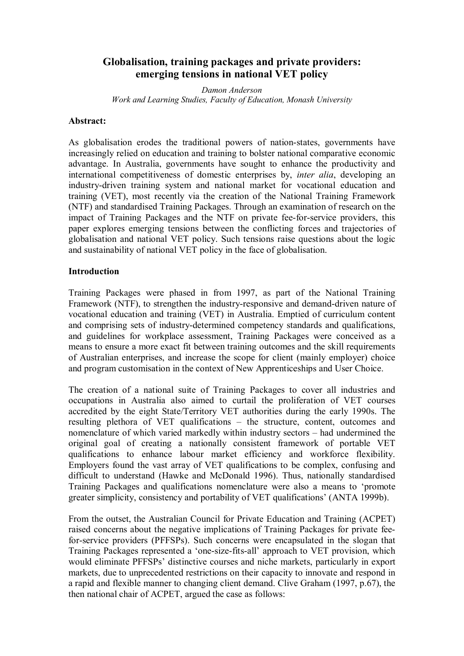# **Globalisation, training packages and private providers: emerging tensions in national VET policy**

*Damon Anderson Work and Learning Studies, Faculty of Education, Monash University*

#### **Abstract:**

As globalisation erodes the traditional powers of nation-states, governments have increasingly relied on education and training to bolster national comparative economic advantage. In Australia, governments have sought to enhance the productivity and international competitiveness of domestic enterprises by, *inter alia*, developing an industry-driven training system and national market for vocational education and training (VET), most recently via the creation of the National Training Framework (NTF) and standardised Training Packages. Through an examination of research on the impact of Training Packages and the NTF on private fee-for-service providers, this paper explores emerging tensions between the conflicting forces and trajectories of globalisation and national VET policy. Such tensions raise questions about the logic and sustainability of national VET policy in the face of globalisation.

### **Introduction**

Training Packages were phased in from 1997, as part of the National Training Framework (NTF), to strengthen the industry-responsive and demand-driven nature of vocational education and training (VET) in Australia. Emptied of curriculum content and comprising sets of industry-determined competency standards and qualifications, and guidelines for workplace assessment, Training Packages were conceived as a means to ensure a more exact fit between training outcomes and the skill requirements of Australian enterprises, and increase the scope for client (mainly employer) choice and program customisation in the context of New Apprenticeships and User Choice.

The creation of a national suite of Training Packages to cover all industries and occupations in Australia also aimed to curtail the proliferation of VET courses accredited by the eight State/Territory VET authorities during the early 1990s. The resulting plethora of VET qualifications – the structure, content, outcomes and nomenclature of which varied markedly within industry sectors – had undermined the original goal of creating a nationally consistent framework of portable VET qualifications to enhance labour market efficiency and workforce flexibility. Employers found the vast array of VET qualifications to be complex, confusing and difficult to understand (Hawke and McDonald 1996). Thus, nationally standardised Training Packages and qualifications nomenclature were also a means to 'promote greater simplicity, consistency and portability of VET qualifications' (ANTA 1999b).

From the outset, the Australian Council for Private Education and Training (ACPET) raised concerns about the negative implications of Training Packages for private feefor-service providers (PFFSPs). Such concerns were encapsulated in the slogan that Training Packages represented a 'one-size-fits-all' approach to VET provision, which would eliminate PFFSPs' distinctive courses and niche markets, particularly in export markets, due to unprecedented restrictions on their capacity to innovate and respond in a rapid and flexible manner to changing client demand. Clive Graham (1997, p.67), the then national chair of ACPET, argued the case as follows: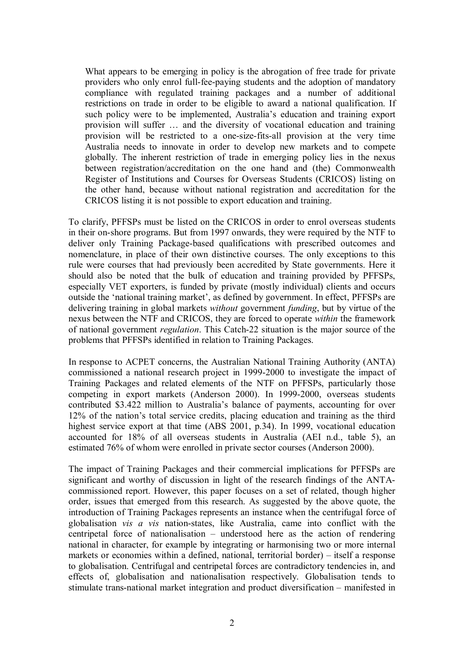What appears to be emerging in policy is the abrogation of free trade for private providers who only enrol full-fee-paying students and the adoption of mandatory compliance with regulated training packages and a number of additional restrictions on trade in order to be eligible to award a national qualification. If such policy were to be implemented, Australia's education and training export provision will suffer … and the diversity of vocational education and training provision will be restricted to a one-size-fits-all provision at the very time Australia needs to innovate in order to develop new markets and to compete globally. The inherent restriction of trade in emerging policy lies in the nexus between registration/accreditation on the one hand and (the) Commonwealth Register of Institutions and Courses for Overseas Students (CRICOS) listing on the other hand, because without national registration and accreditation for the CRICOS listing it is not possible to export education and training.

To clarify, PFFSPs must be listed on the CRICOS in order to enrol overseas students in their on-shore programs. But from 1997 onwards, they were required by the NTF to deliver only Training Package-based qualifications with prescribed outcomes and nomenclature, in place of their own distinctive courses. The only exceptions to this rule were courses that had previously been accredited by State governments. Here it should also be noted that the bulk of education and training provided by PFFSPs, especially VET exporters, is funded by private (mostly individual) clients and occurs outside the 'national training market', as defined by government. In effect, PFFSPs are delivering training in global markets *without* government *funding*, but by virtue of the nexus between the NTF and CRICOS, they are forced to operate *within* the framework of national government *regulation*. This Catch-22 situation is the major source of the problems that PFFSPs identified in relation to Training Packages.

In response to ACPET concerns, the Australian National Training Authority (ANTA) commissioned a national research project in 1999-2000 to investigate the impact of Training Packages and related elements of the NTF on PFFSPs, particularly those competing in export markets (Anderson 2000). In 1999-2000, overseas students contributed \$3.422 million to Australia's balance of payments, accounting for over 12% of the nation's total service credits, placing education and training as the third highest service export at that time (ABS 2001, p.34). In 1999, vocational education accounted for 18% of all overseas students in Australia (AEI n.d., table 5), an estimated 76% of whom were enrolled in private sector courses (Anderson 2000).

The impact of Training Packages and their commercial implications for PFFSPs are significant and worthy of discussion in light of the research findings of the ANTA commissioned report. However, this paper focuses on a set of related, though higher order, issues that emerged from this research. As suggested by the above quote, the introduction of Training Packages represents an instance when the centrifugal force of globalisation *vis a vis* nation-states, like Australia, came into conflict with the centripetal force of nationalisation – understood here as the action of rendering national in character, for example by integrating or harmonising two or more internal markets or economies within a defined, national, territorial border) – itself a response to globalisation. Centrifugal and centripetal forces are contradictory tendencies in, and effects of, globalisation and nationalisation respectively. Globalisation tends to stimulate trans-national market integration and product diversification – manifested in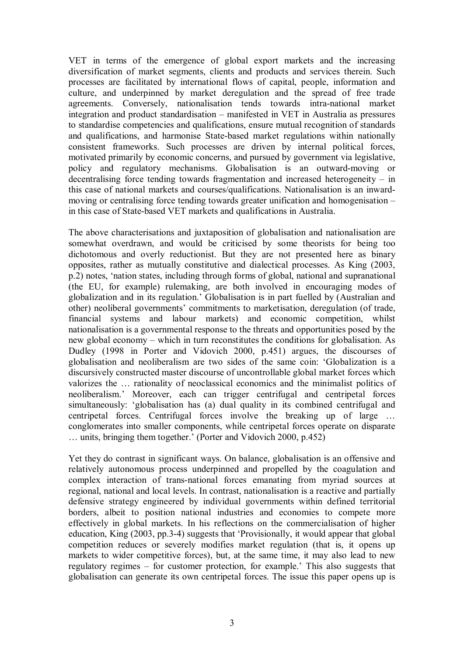VET in terms of the emergence of global export markets and the increasing diversification of market segments, clients and products and services therein. Such processes are facilitated by international flows of capital, people, information and culture, and underpinned by market deregulation and the spread of free trade agreements. Conversely, nationalisation tends towards intra-national market integration and product standardisation – manifested in VET in Australia as pressures to standardise competencies and qualifications, ensure mutual recognition of standards and qualifications, and harmonise State-based market regulations within nationally consistent frameworks. Such processes are driven by internal political forces, motivated primarily by economic concerns, and pursued by government via legislative, policy and regulatory mechanisms. Globalisation is an outward-moving or decentralising force tending towards fragmentation and increased heterogeneity – in this case of national markets and courses/qualifications. Nationalisation is an inwardmoving or centralising force tending towards greater unification and homogenisation – in this case of State-based VET markets and qualifications in Australia.

The above characterisations and juxtaposition of globalisation and nationalisation are somewhat overdrawn, and would be criticised by some theorists for being too dichotomous and overly reductionist. But they are not presented here as binary opposites, rather as mutually constitutive and dialectical processes. As King (2003, p.2) notes, 'nation states, including through forms of global, national and supranational (the EU, for example) rulemaking, are both involved in encouraging modes of globalization and in its regulation.' Globalisation is in part fuelled by (Australian and other) neoliberal governments' commitments to marketisation, deregulation (of trade, financial systems and labour markets) and economic competition, whilst nationalisation is a governmental response to the threats and opportunities posed by the new global economy – which in turn reconstitutes the conditions for globalisation. As Dudley (1998 in Porter and Vidovich 2000, p.451) argues, the discourses of globalisation and neoliberalism are two sides of the same coin: 'Globalization is a discursively constructed master discourse of uncontrollable global market forces which valorizes the … rationality of neoclassical economics and the minimalist politics of neoliberalism.' Moreover, each can trigger centrifugal and centripetal forces simultaneously: 'globalisation has (a) dual quality in its combined centrifugal and centripetal forces. Centrifugal forces involve the breaking up of large … conglomerates into smaller components, while centripetal forces operate on disparate … units, bringing them together.' (Porter and Vidovich 2000, p.452)

Yet they do contrast in significant ways. On balance, globalisation is an offensive and relatively autonomous process underpinned and propelled by the coagulation and complex interaction of trans-national forces emanating from myriad sources at regional, national and local levels. In contrast, nationalisation is a reactive and partially defensive strategy engineered by individual governments within defined territorial borders, albeit to position national industries and economies to compete more effectively in global markets. In his reflections on the commercialisation of higher education, King (2003, pp.3-4) suggests that 'Provisionally, it would appear that global competition reduces or severely modifies market regulation (that is, it opens up markets to wider competitive forces), but, at the same time, it may also lead to new regulatory regimes – for customer protection, for example.' This also suggests that globalisation can generate its own centripetal forces. The issue this paper opens up is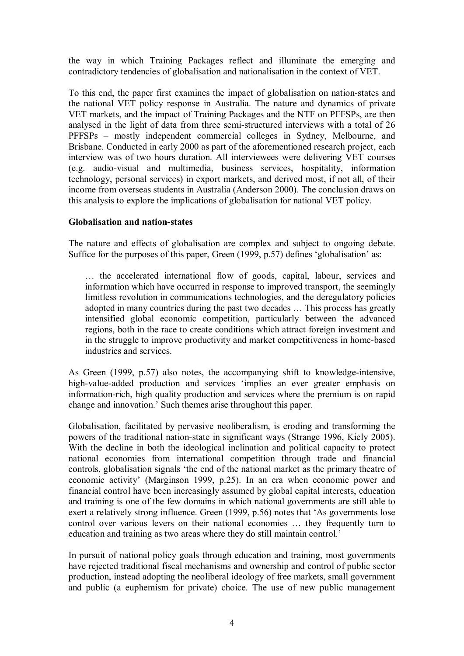the way in which Training Packages reflect and illuminate the emerging and contradictory tendencies of globalisation and nationalisation in the context of VET.

To this end, the paper first examines the impact of globalisation on nation-states and the national VET policy response in Australia. The nature and dynamics of private VET markets, and the impact of Training Packages and the NTF on PFFSPs, are then analysed in the light of data from three semistructured interviews with a total of 26 PFFSPs – mostly independent commercial colleges in Sydney, Melbourne, and Brisbane. Conducted in early 2000 as part of the aforementioned research project, each interview was of two hours duration. All interviewees were delivering VET courses  $(e.g. audio-visual and multimedia, business services, hospitality, information$ technology, personal services) in export markets, and derived most, if not all, of their income from overseas students in Australia (Anderson 2000). The conclusion draws on this analysis to explore the implications of globalisation for national VET policy.

### **Globalisation and nation-states**

The nature and effects of globalisation are complex and subject to ongoing debate. Suffice for the purposes of this paper, Green (1999, p.57) defines 'globalisation' as:

… the accelerated international flow of goods, capital, labour, services and information which have occurred in response to improved transport, the seemingly limitless revolution in communications technologies, and the deregulatory policies adopted in many countries during the past two decades … This process has greatly intensified global economic competition, particularly between the advanced regions, both in the race to create conditions which attract foreign investment and in the struggle to improve productivity and market competitiveness in homebased industries and services.

As Green  $(1999, p.57)$  also notes, the accompanying shift to knowledge-intensive, high-value-added production and services 'implies an ever greater emphasis on information-rich, high quality production and services where the premium is on rapid change and innovation.' Such themes arise throughout this paper.

Globalisation, facilitated by pervasive neoliberalism, is eroding and transforming the powers of the traditional nation-state in significant ways (Strange 1996, Kiely 2005). With the decline in both the ideological inclination and political capacity to protect national economies from international competition through trade and financial controls, globalisation signals 'the end of the national market as the primary theatre of economic activity' (Marginson 1999, p.25). In an era when economic power and financial control have been increasingly assumed by global capital interests, education and training is one of the few domains in which national governments are still able to exert a relatively strong influence. Green (1999, p.56) notes that 'As governments lose control over various levers on their national economies … they frequently turn to education and training as two areas where they do still maintain control.'

In pursuit of national policy goals through education and training, most governments have rejected traditional fiscal mechanisms and ownership and control of public sector production, instead adopting the neoliberal ideology of free markets, small government and public (a euphemism for private) choice. The use of new public management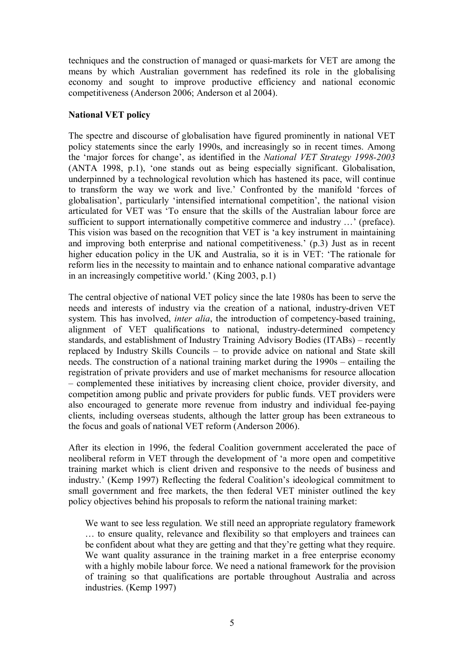techniques and the construction of managed or quasi-markets for VET are among the means by which Australian government has redefined its role in the globalising economy and sought to improve productive efficiency and national economic competitiveness (Anderson 2006; Anderson et al 2004).

### **National VET policy**

The spectre and discourse of globalisation have figured prominently in national VET policy statements since the early 1990s, and increasingly so in recent times. Among the 'major forces for change', as identified in the *National VET Strategy 1998-2003* (ANTA 1998, p.1), 'one stands out as being especially significant. Globalisation, underpinned by a technological revolution which has hastened its pace, will continue to transform the way we work and live.' Confronted by the manifold 'forces of globalisation', particularly 'intensified international competition', the national vision articulated for VET was 'To ensure that the skills of the Australian labour force are sufficient to support internationally competitive commerce and industry …' (preface). This vision was based on the recognition that VET is 'a key instrument in maintaining and improving both enterprise and national competitiveness.' (p.3) Just as in recent higher education policy in the UK and Australia, so it is in VET: 'The rationale for reform lies in the necessity to maintain and to enhance national comparative advantage in an increasingly competitive world.' (King 2003, p.1)

The central objective of national VET policy since the late 1980s has been to serve the needs and interests of industry via the creation of a national, industry-driven VET system. This has involved, *inter alia*, the introduction of competency-based training, alignment of VET qualifications to national, industry-determined competency standards, and establishment of Industry Training Advisory Bodies (ITABs) – recently replaced by Industry Skills Councils – to provide advice on national and State skill needs. The construction of a national training market during the 1990s – entailing the registration of private providers and use of market mechanisms for resource allocation – complemented these initiatives by increasing client choice, provider diversity, and competition among public and private providers for public funds. VET providers were also encouraged to generate more revenue from industry and individual fee-paying clients, including overseas students, although the latter group has been extraneous to the focus and goals of national VET reform (Anderson 2006).

After its election in 1996, the federal Coalition government accelerated the pace of neoliberal reform in VET through the development of 'a more open and competitive training market which is client driven and responsive to the needs of business and industry.' (Kemp 1997) Reflecting the federal Coalition's ideological commitment to small government and free markets, the then federal VET minister outlined the key policy objectives behind his proposals to reform the national training market:

We want to see less regulation. We still need an appropriate regulatory framework … to ensure quality, relevance and flexibility so that employers and trainees can be confident about what they are getting and that they're getting what they require. We want quality assurance in the training market in a free enterprise economy with a highly mobile labour force. We need a national framework for the provision of training so that qualifications are portable throughout Australia and across industries. (Kemp 1997)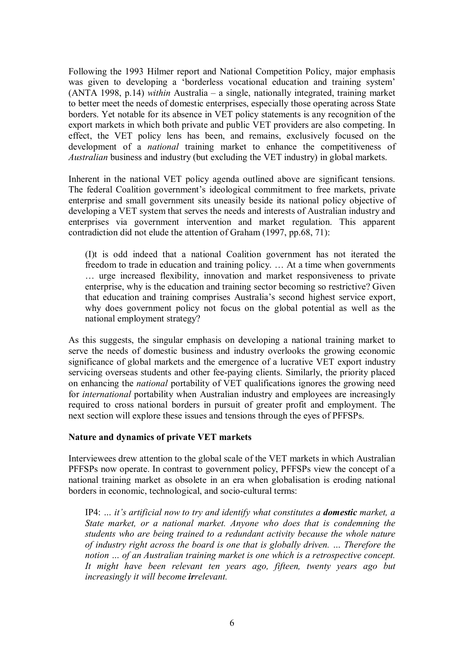Following the 1993 Hilmer report and National Competition Policy, major emphasis was given to developing a 'borderless vocational education and training system' (ANTA 1998, p.14) *within* Australia – a single, nationally integrated, training market to better meet the needs of domestic enterprises, especially those operating across State borders. Yet notable for its absence in VET policy statements is any recognition of the export markets in which both private and public VET providers are also competing. In effect, the VET policy lens has been, and remains, exclusively focused on the development of a *national* training market to enhance the competitiveness of *Australian* business and industry (but excluding the VET industry) in global markets.

Inherent in the national VET policy agenda outlined above are significant tensions. The federal Coalition government's ideological commitment to free markets, private enterprise and small government sits uneasily beside its national policy objective of developing a VET system that serves the needs and interests of Australian industry and enterprises via government intervention and market regulation. This apparent contradiction did not elude the attention of Graham (1997, pp.68, 71):

(I)t is odd indeed that a national Coalition government has not iterated the freedom to trade in education and training policy. … At a time when governments … urge increased flexibility, innovation and market responsiveness to private enterprise, why is the education and training sector becoming so restrictive? Given that education and training comprises Australia's second highest service export, why does government policy not focus on the global potential as well as the national employment strategy?

As this suggests, the singular emphasis on developing a national training market to serve the needs of domestic business and industry overlooks the growing economic significance of global markets and the emergence of a lucrative VET export industry servicing overseas students and other fee-paying clients. Similarly, the priority placed on enhancing the *national* portability of VET qualifications ignores the growing need for *international* portability when Australian industry and employees are increasingly required to cross national borders in pursuit of greater profit and employment. The next section will explore these issues and tensions through the eyes of PFFSPs.

### **Nature and dynamics of private VET markets**

Interviewees drew attention to the global scale of the VET markets in which Australian PFFSPs now operate. In contrast to government policy, PFFSPs view the concept of a national training market as obsolete in an era when globalisation is eroding national borders in economic, technological, and socio-cultural terms:

IP4: ... *it's artificial now to try and identify what constitutes a <i>domestic* market, a *State market, or a national market. Anyone who does that is condemning the students who are being trained to a redundant activity because the whole nature of industry right across the board is one that is globally driven. … Therefore the notion … of an Australian training market is one which is a retrospective concept. It might have been relevant ten years ago, fifteen, twenty years ago but increasingly it will become irrelevant.*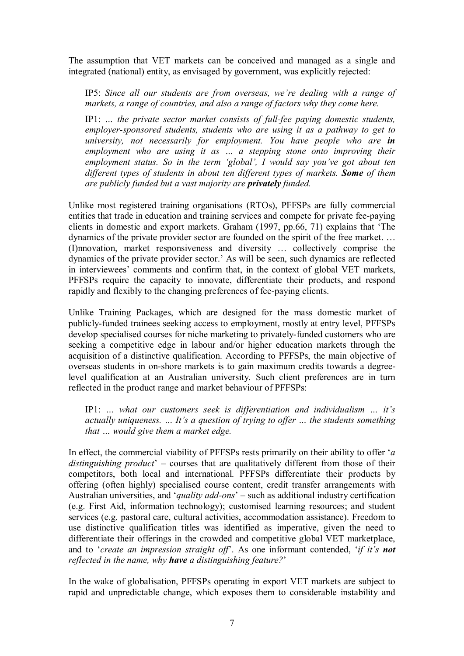The assumption that VET markets can be conceived and managed as a single and integrated (national) entity, as envisaged by government, was explicitly rejected:

IP5: *Since all our students are from overseas, we're dealing with a range of markets, a range of countries, and also a range of factors why they come here.*

IP1: ... *the private sector market consists of full-fee paying domestic students, employersponsored students, students who are using it as a pathway to get to university, not necessarily for employment. You have people who are in employment who are using it as … a stepping stone onto improving their employment status. So in the term 'global', I would say you've got about ten different types of students in about ten different types of markets. Some of them are publicly funded but a vast majority are privately funded.*

Unlike most registered training organisations (RTOs), PFFSPs are fully commercial entities that trade in education and training services and compete for private fee-paying clients in domestic and export markets. Graham (1997, pp.66, 71) explains that 'The dynamics of the private provider sector are founded on the spirit of the free market. … (I)nnovation, market responsiveness and diversity … collectively comprise the dynamics of the private provider sector.' As will be seen, such dynamics are reflected in interviewees' comments and confirm that, in the context of global VET markets, PFFSPs require the capacity to innovate, differentiate their products, and respond rapidly and flexibly to the changing preferences of fee-paying clients.

Unlike Training Packages, which are designed for the mass domestic market of publicly-funded trainees seeking access to employment, mostly at entry level, PFFSPs develop specialised courses for niche marketing to privately-funded customers who are seeking a competitive edge in labour and/or higher education markets through the acquisition of a distinctive qualification. According to PFFSPs, the main objective of overseas students in on-shore markets is to gain maximum credits towards a degreelevel qualification at an Australian university. Such client preferences are in turn reflected in the product range and market behaviour of PFFSPs:

IP1: *… what our customers seek is differentiation and individualism … it's actually uniqueness. … It'sa question of trying to offer … the students something that … would give them a market edge.*

In effect, the commercial viability of PFFSPs rests primarily on their ability to offer '*a*  distinguishing *product*' – courses that are qualitatively different from those of their competitors, both local and international. PFFSPs differentiate their products by offering (often highly) specialised course content, credit transfer arrangements with Australian universities, and '*quality add-ons*' – such as additional industry certification (e.g. First Aid, information technology); customised learning resources; and student services (e.g. pastoral care, cultural activities, accommodation assistance). Freedom to use distinctive qualification titles was identified as imperative, given the need to differentiate their offerings in the crowded and competitive global VET marketplace, and to '*create an impression straight off*'. As one informant contended, '*if it's not reflected in the name, why have a distinguishing feature?*'

In the wake of globalisation, PFFSPs operating in export VET markets are subject to rapid and unpredictable change, which exposes them to considerable instability and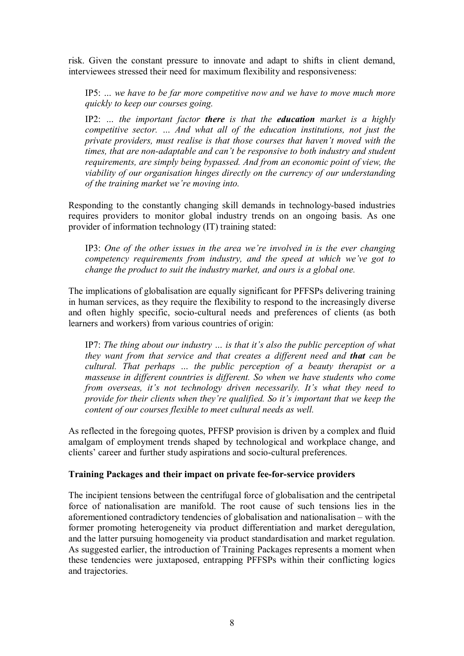risk. Given the constant pressure to innovate and adapt to shifts in client demand, interviewees stressed their need for maximum flexibility and responsiveness:

IP5: *… we have to be far more competitive now and we have to move much more quickly to keep our courses going.*

IP2: *… the important factor there is that the education market is a highly competitive sector. … And what all of the education institutions, not just the private providers, must realise is that those courses that haven't moved with the times, that are non-adaptable and can't be responsive to both industry and student requirements, are simply being bypassed. And from an economic point of view, the viability of our organisation hinges directly on the currency of our understanding of the training market we're moving into.*

Responding to the constantly changing skill demands in technology-based industries requires providers to monitor global industry trends on an ongoing basis. As one provider of information technology (IT) training stated:

IP3: *One of the other issues in the area we're involved in is the ever changing competency requirements from industry, and the speed at which we've got to change the product to suit the industry market, and ours is a global one.*

The implications of globalisation are equally significant for PFFSPs delivering training in human services, as they require the flexibility to respond to the increasingly diverse and often highly specific, socio-cultural needs and preferences of clients (as both learners and workers) from various countries of origin:

IP7: *The thing about our industry … is that it's also the public perception of what they want from that service and that creates a different need and that can be cultural. That perhaps … the public perception of a beauty therapist or a masseuse in different countries is different. So when we have students who come from overseas, it's not technology driven necessarily. It's what they need to provide for their clients when they're qualified. So it's important that we keep the content of our courses flexible to meet cultural needs as well.*

As reflected in the foregoing quotes, PFFSP provision is driven by a complex and fluid amalgam of employment trends shaped by technological and workplace change, and clients' career and further study aspirations and socio-cultural preferences.

### **Training Packages and their impact on private feeforservice providers**

The incipient tensions between the centrifugal force of globalisation and the centripetal force of nationalisation are manifold. The root cause of such tensions lies in the aforementioned contradictory tendencies of globalisation and nationalisation – with the former promoting heterogeneity via product differentiation and market deregulation, and the latter pursuing homogeneity via product standardisation and market regulation. As suggested earlier, the introduction of Training Packages represents a moment when these tendencies were juxtaposed, entrapping PFFSPs within their conflicting logics and trajectories.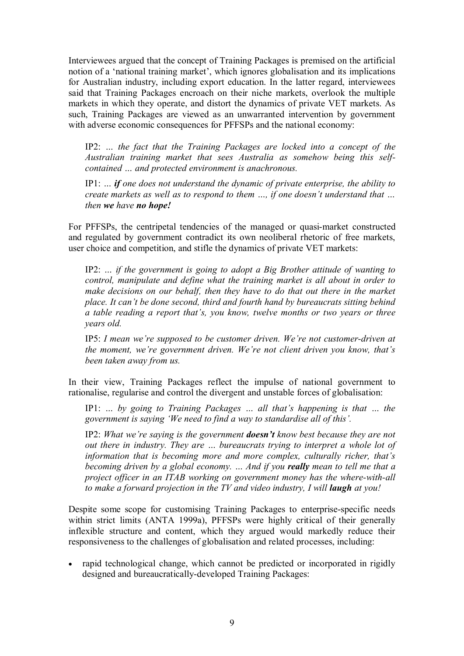Interviewees argued that the concept of Training Packages is premised on the artificial notion of a 'national training market', which ignores globalisation and its implications for Australian industry, including export education. In the latter regard, interviewees said that Training Packages encroach on their niche markets, overlook the multiple markets in which they operate, and distort the dynamics of private VET markets. As such, Training Packages are viewed as an unwarranted intervention by government with adverse economic consequences for PFFSPs and the national economy:

IP2: *… the fact that the Training Packages are locked into a concept of the Australian training market that sees Australia as somehow being this self contained … and protected environment is anachronous.*

IP1: *… if one does not understand the dynamic of private enterprise, the ability to create markets as well as to respond to them …, if one doesn't understand that … then we have no hope!*

For PFFSPs, the centripetal tendencies of the managed or quasi-market constructed and regulated by government contradict its own neoliberal rhetoric of free markets, user choice and competition, and stifle the dynamics of private VET markets:

IP2: *… if the government is going to adopt a Big Brother attitude of wanting to control, manipulate and define what the training market is all about in order to make decisions on our behalf, then they have to do that out there in the market place. It can't be done second, third and fourth hand by bureaucrats sitting behind a table reading a report that's, you know, twelve months or two years or three years old.*

IP5: *I mean we're supposed to be customer driven. We're not customer-driven at the moment, we're government driven. We're not client driven you know, that's been taken away from us.*

In their view, Training Packages reflect the impulse of national government to rationalise, regularise and control the divergent and unstable forces of globalisation:

IP1: *… by going to Training Packages … all that's happening is that … the government is saying 'We need to find a way to standardise all of this'.*

IP2: *What we're saying is the government doesn't know best because they are not out there in industry. They are … bureaucrats trying to interpret a whole lot of information that is becoming more and more complex, culturally richer, that's becoming driven by a global economy. … And if you really mean to tell me that a project officer in an ITAB working on government money has the where-with-all to make a forward projection in the TV and video industry, I will laugh at you!*

Despite some scope for customising Training Packages to enterprise-specific needs within strict limits (ANTA 1999a), PFFSPs were highly critical of their generally inflexible structure and content, which they argued would markedly reduce their responsiveness to the challenges of globalisation and related processes, including:

· rapid technological change, which cannot be predicted or incorporated in rigidly designed and bureaucratically-developed Training Packages: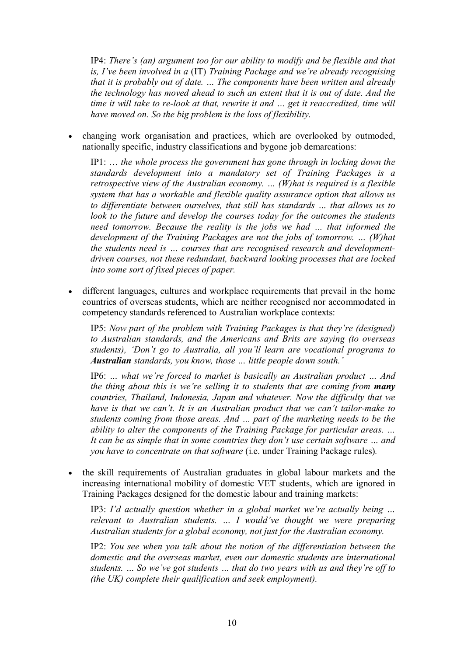IP4: *There's (an) argument too for our ability to modify and be flexible and that is, I've been involved in a* (IT) *Training Package and we're already recognising that it is probably out of date. … The components have been written and already the technology has moved ahead to such an extent that it is out of date. And the time it will take to re-look at that, rewrite it and ... get it reaccredited, time will have moved on. So the big problem is the loss of flexibility.*

· changing work organisation and practices, which are overlooked by outmoded, nationally specific, industry classifications and bygone job demarcations:

IP1: … *the whole process the government has gone through in locking down the standards development into a mandatory set of Training Packages is a retrospective view of the Australian economy. … (W)hat is required is a flexible system that has a workable and flexible quality assurance option that allows us to differentiate between ourselves, that still has standards … that allows us to look to the future and develop the courses today for the outcomes the students need tomorrow. Because the reality is the jobs we had … that informed the development of the Training Packages are not the jobs of tomorrow. … (W)hat the students need is … courses that are recognised research and developmentdriven courses, not these redundant, backward looking processes that are locked into some sort of fixed pieces of paper.*

different languages, cultures and workplace requirements that prevail in the home countries of overseas students, which are neither recognised nor accommodated in competency standards referenced to Australian workplace contexts:

IP5: *Now part of the problem with Training Packages is that they're (designed) to Australian standards, and the Americans and Brits are saying (to overseas students), 'Don't go to Australia, all you'll learn are vocational programs to Australian standards, you know, those … little people down south.'*

IP6: *… what we're forced to market is basically an Australian product … And the thing about this is we're selling it to students that are coming from many countries, Thailand, Indonesia, Japan and whatever. Now the difficulty that we have is that we can't. It is an Australian product that we can't tailor-make to students coming from those areas. And … part of the marketing needs to be the ability to alter the components of the Training Package for particular areas. … It can be as simple that in some countries they don't use certain software … and you have to concentrate on that software* (i.e. under Training Package rules)*.*

· the skill requirements of Australian graduates in global labour markets and the increasing international mobility of domestic VET students, which are ignored in Training Packages designed for the domestic labour and training markets:

IP3: *I'd actually question whether in a global market we're actually being … relevant to Australian students. … I would've thought we were preparing Australian students for a global economy, not just for the Australian economy.*

IP2: *You see when you talk about the notion of the differentiation between the domestic and the overseas market, even our domestic students are international students. … So we've got students … that do two years with us and they're off to (the UK) complete their qualification and seek employment).*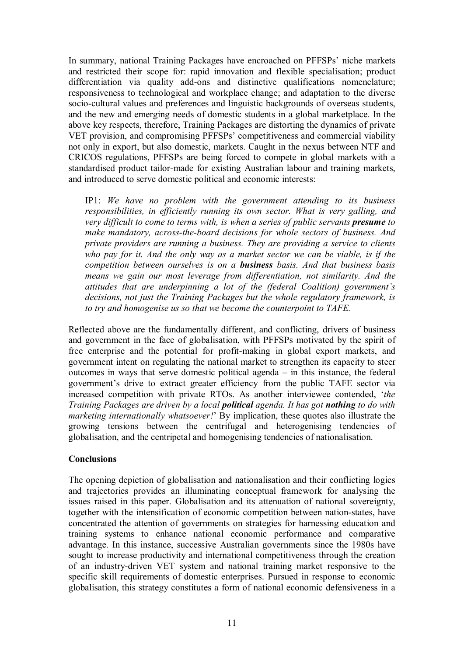In summary, national Training Packages have encroached on PFFSPs' niche markets and restricted their scope for: rapid innovation and flexible specialisation; product differentiation via quality add-ons and distinctive qualifications nomenclature; responsiveness to technological and workplace change; and adaptation to the diverse socio-cultural values and preferences and linguistic backgrounds of overseas students, and the new and emerging needs of domestic students in a global marketplace. In the above key respects, therefore, Training Packages are distorting the dynamics of private VET provision, and compromising PFFSPs' competitiveness and commercial viability not only in export, but also domestic, markets. Caught in the nexus between NTF and CRICOS regulations, PFFSPs are being forced to compete in global markets with a standardised product tailor-made for existing Australian labour and training markets, and introduced to serve domestic political and economic interests:

IP1: *We have no problem with the government attending to its business responsibilities, in efficiently running its own sector. What is very galling, and very difficult to come to terms with, is when a series of public servants presume to make mandatory, acrosstheboard decisions for whole sectors of business. And private providers are running a business. They are providing a service to clients who pay for it. And the only way as a market sector we can be viable, is if the competition between ourselves is on a business basis. And that business basis means we gain our most leverage from differentiation, not similarity. And the attitudes that are underpinning a lot of the (federal Coalition) government's decisions, not just the Training Packages but the whole regulatory framework, is to try and homogenise us so that we become the counterpoint to TAFE.*

Reflected above are the fundamentally different, and conflicting, drivers of business and government in the face of globalisation, with PFFSPs motivated by the spirit of free enterprise and the potential for profit-making in global export markets, and government intent on regulating the national market to strengthen its capacity to steer outcomes in ways that serve domestic political agenda – in this instance, the federal government's drive to extract greater efficiency from the public TAFE sector via increased competition with private RTOs. As another interviewee contended, '*the Training Packages are driven by a local political agenda. It has got nothing to do with marketing internationally whatsoever!*' By implication, these quotes also illustrate the growing tensions between the centrifugal and heterogenising tendencies of globalisation, and the centripetal and homogenising tendencies of nationalisation.

### **Conclusions**

The opening depiction of globalisation and nationalisation and their conflicting logics and trajectories provides an illuminating conceptual framework for analysing the issues raised in this paper. Globalisation and its attenuation of national sovereignty, together with the intensification of economic competition between nation-states, have concentrated the attention of governments on strategies for harnessing education and training systems to enhance national economic performance and comparative advantage. In this instance, successive Australian governments since the 1980s have sought to increase productivity and international competitiveness through the creation of an industry-driven VET system and national training market responsive to the specific skill requirements of domestic enterprises. Pursued in response to economic globalisation, this strategy constitutes a form of national economic defensiveness in a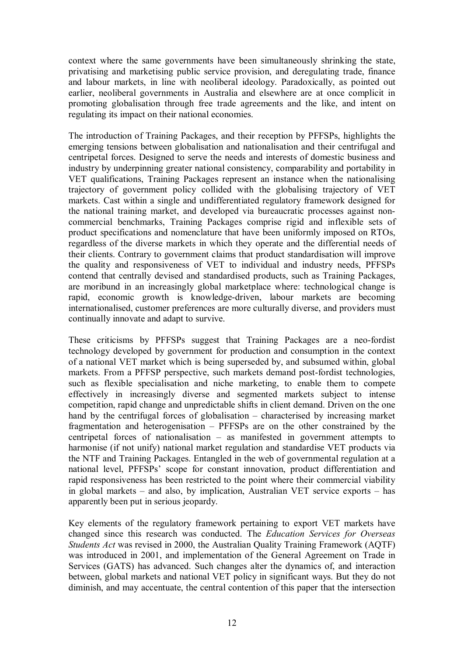context where the same governments have been simultaneously shrinking the state, privatising and marketising public service provision, and deregulating trade, finance and labour markets, in line with neoliberal ideology. Paradoxically, as pointed out earlier, neoliberal governments in Australia and elsewhere are at once complicit in promoting globalisation through free trade agreements and the like, and intent on regulating its impact on their national economies.

The introduction of Training Packages, and their reception by PFFSPs, highlights the emerging tensions between globalisation and nationalisation and their centrifugal and centripetal forces. Designed to serve the needs and interests of domestic business and industry by underpinning greater national consistency, comparability and portability in VET qualifications, Training Packages represent an instance when the nationalising trajectory of government policy collided with the globalising trajectory of VET markets. Cast within a single and undifferentiated regulatory framework designed for the national training market, and developed via bureaucratic processes against non commercial benchmarks, Training Packages comprise rigid and inflexible sets of product specifications and nomenclature that have been uniformly imposed on RTOs, regardless of the diverse markets in which they operate and the differential needs of their clients. Contrary to government claims that product standardisation will improve the quality and responsiveness of VET to individual and industry needs, PFFSPs contend that centrally devised and standardised products, such as Training Packages, are moribund in an increasingly global marketplace where: technological change is rapid, economic growth is knowledge-driven, labour markets are becoming internationalised, customer preferences are more culturally diverse, and providers must continually innovate and adapt to survive.

These criticisms by PFFSPs suggest that Training Packages are a neo-fordist technology developed by government for production and consumption in the context of a national VET market which is being superseded by, and subsumed within, global markets. From a PFFSP perspective, such markets demand post-fordist technologies, such as flexible specialisation and niche marketing, to enable them to compete effectively in increasingly diverse and segmented markets subject to intense competition, rapid change and unpredictable shifts in client demand. Driven on the one hand by the centrifugal forces of globalisation – characterised by increasing market fragmentation and heterogenisation – PFFSPs are on the other constrained by the centripetal forces of nationalisation – as manifested in government attempts to harmonise (if not unify) national market regulation and standardise VET products via the NTF and Training Packages. Entangled in the web of governmental regulation at a national level, PFFSPs' scope for constant innovation, product differentiation and rapid responsiveness has been restricted to the point where their commercial viability in global markets – and also, by implication, Australian VET service exports – has apparently been put in serious jeopardy.

Key elements of the regulatory framework pertaining to export VET markets have changed since this research was conducted. The *Education Services for Overseas Students Act* was revised in 2000, the Australian Quality Training Framework (AQTF) was introduced in 2001, and implementation of the General Agreement on Trade in Services (GATS) has advanced. Such changes alter the dynamics of, and interaction between, global markets and national VET policy in significant ways. But they do not diminish, and may accentuate, the central contention of this paper that the intersection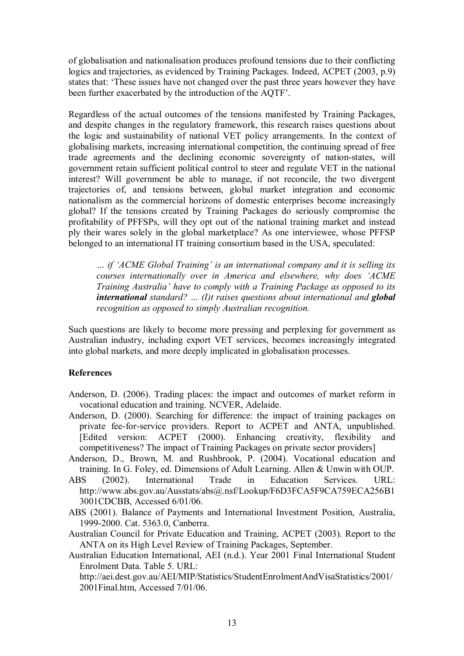of globalisation and nationalisation produces profound tensions due to their conflicting logics and trajectories, as evidenced by Training Packages. Indeed, ACPET (2003, p.9) states that: 'These issues have not changed over the past three years however they have been further exacerbated by the introduction of the AQTF'.

Regardless of the actual outcomes of the tensions manifested by Training Packages, and despite changes in the regulatory framework, this research raises questions about the logic and sustainability of national VET policy arrangements. In the context of globalising markets, increasing international competition, the continuing spread of free trade agreements and the declining economic sovereignty of nation-states, will government retain sufficient political control to steer and regulate VET in the national interest? Will government be able to manage, if not reconcile, the two divergent trajectories of, and tensions between, global market integration and economic nationalism as the commercial horizons of domestic enterprises become increasingly global? If the tensions created by Training Packages do seriously compromise the profitability of PFFSPs, will they opt out of the national training market and instead ply their wares solely in the global marketplace? As one interviewee, whose PFFSP belonged to an international IT training consortium based in the USA, speculated:

*… if 'ACME Global Training' is an international company and it is selling its courses internationally over in America and elsewhere, why does 'ACME Training Australia' have to comply with a Training Package as opposed to its international standard? … (I)t raises questions about international and global recognition as opposed to simply Australian recognition.*

Such questions are likely to become more pressing and perplexing for government as Australian industry, including export VET services, becomes increasingly integrated into global markets, and more deeply implicated in globalisation processes.

## **References**

- Anderson, D. (2006). Trading places: the impact and outcomes of market reform in vocational education and training. NCVER, Adelaide.
- Anderson, D. (2000). Searching for difference: the impact of training packages on private fee-for-service providers. Report to ACPET and ANTA, unpublished. [Edited version: ACPET (2000). Enhancing creativity, flexibility and competitiveness? The impact of Training Packages on private sector providers]
- Anderson, D., Brown, M. and Rushbrook, P. (2004). Vocational education and training. In G. Foley, ed. Dimensions of Adult Learning. Allen & Unwin with OUP.
- ABS (2002). International Trade in Education Services. URL: http://www.abs.gov.au/Ausstats/abs@.nsf/Lookup/F6D3FCA5F9CA759ECA256B1 3001CDCBB, Accessed 6/01/06.
- ABS (2001). Balance of Payments and International Investment Position, Australia, 19992000. Cat. 5363.0, Canberra.

Australian Council for Private Education and Training, ACPET (2003). Report to the ANTA on its High Level Review of Training Packages, September.

Australian Education International, AEI (n.d.). Year 2001 Final International Student Enrolment Data. Table 5. URL:

http://aei.dest.gov.au/AEI/MIP/Statistics/StudentEnrolmentAndVisaStatistics/2001/ 2001Final.htm, Accessed 7/01/06.